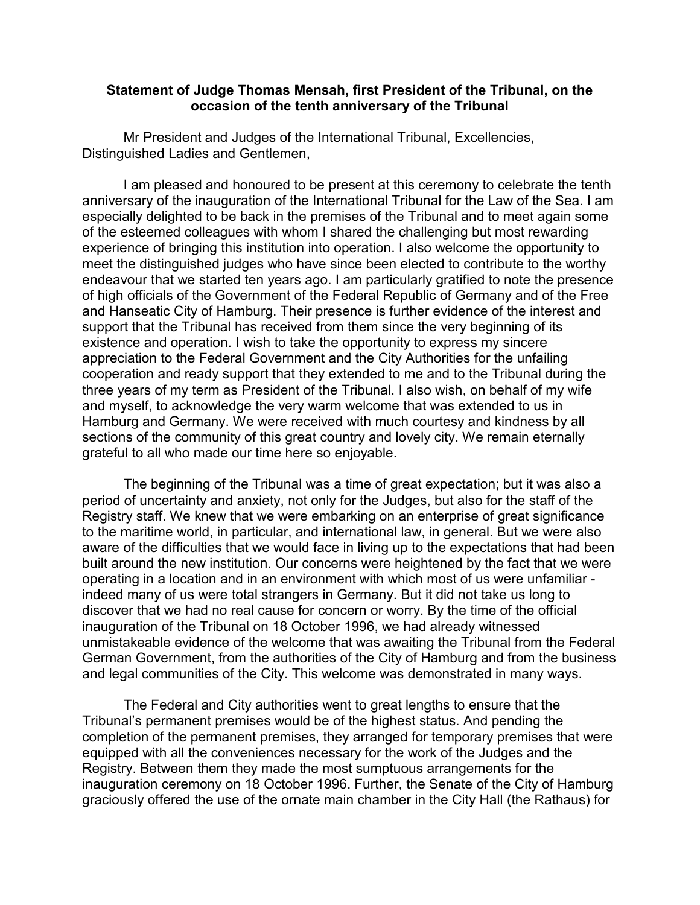## **Statement of Judge Thomas Mensah, first President of the Tribunal, on the occasion of the tenth anniversary of the Tribunal**

Mr President and Judges of the International Tribunal, Excellencies, Distinguished Ladies and Gentlemen,

I am pleased and honoured to be present at this ceremony to celebrate the tenth anniversary of the inauguration of the International Tribunal for the Law of the Sea. I am especially delighted to be back in the premises of the Tribunal and to meet again some of the esteemed colleagues with whom I shared the challenging but most rewarding experience of bringing this institution into operation. I also welcome the opportunity to meet the distinguished judges who have since been elected to contribute to the worthy endeavour that we started ten years ago. I am particularly gratified to note the presence of high officials of the Government of the Federal Republic of Germany and of the Free and Hanseatic City of Hamburg. Their presence is further evidence of the interest and support that the Tribunal has received from them since the very beginning of its existence and operation. I wish to take the opportunity to express my sincere appreciation to the Federal Government and the City Authorities for the unfailing cooperation and ready support that they extended to me and to the Tribunal during the three years of my term as President of the Tribunal. I also wish, on behalf of my wife and myself, to acknowledge the very warm welcome that was extended to us in Hamburg and Germany. We were received with much courtesy and kindness by all sections of the community of this great country and lovely city. We remain eternally grateful to all who made our time here so enjoyable.

The beginning of the Tribunal was a time of great expectation; but it was also a period of uncertainty and anxiety, not only for the Judges, but also for the staff of the Registry staff. We knew that we were embarking on an enterprise of great significance to the maritime world, in particular, and international law, in general. But we were also aware of the difficulties that we would face in living up to the expectations that had been built around the new institution. Our concerns were heightened by the fact that we were operating in a location and in an environment with which most of us were unfamiliar indeed many of us were total strangers in Germany. But it did not take us long to discover that we had no real cause for concern or worry. By the time of the official inauguration of the Tribunal on 18 October 1996, we had already witnessed unmistakeable evidence of the welcome that was awaiting the Tribunal from the Federal German Government, from the authorities of the City of Hamburg and from the business and legal communities of the City. This welcome was demonstrated in many ways.

The Federal and City authorities went to great lengths to ensure that the Tribunal's permanent premises would be of the highest status. And pending the completion of the permanent premises, they arranged for temporary premises that were equipped with all the conveniences necessary for the work of the Judges and the Registry. Between them they made the most sumptuous arrangements for the inauguration ceremony on 18 October 1996. Further, the Senate of the City of Hamburg graciously offered the use of the ornate main chamber in the City Hall (the Rathaus) for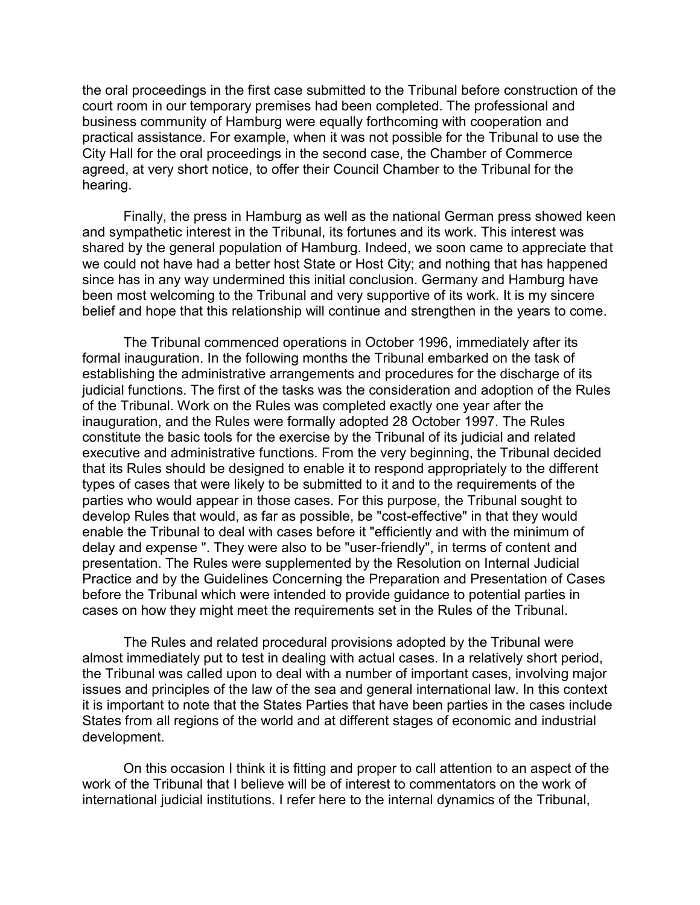the oral proceedings in the first case submitted to the Tribunal before construction of the court room in our temporary premises had been completed. The professional and business community of Hamburg were equally forthcoming with cooperation and practical assistance. For example, when it was not possible for the Tribunal to use the City Hall for the oral proceedings in the second case, the Chamber of Commerce agreed, at very short notice, to offer their Council Chamber to the Tribunal for the hearing.

Finally, the press in Hamburg as well as the national German press showed keen and sympathetic interest in the Tribunal, its fortunes and its work. This interest was shared by the general population of Hamburg. Indeed, we soon came to appreciate that we could not have had a better host State or Host City; and nothing that has happened since has in any way undermined this initial conclusion. Germany and Hamburg have been most welcoming to the Tribunal and very supportive of its work. It is my sincere belief and hope that this relationship will continue and strengthen in the years to come.

The Tribunal commenced operations in October 1996, immediately after its formal inauguration. In the following months the Tribunal embarked on the task of establishing the administrative arrangements and procedures for the discharge of its judicial functions. The first of the tasks was the consideration and adoption of the Rules of the Tribunal. Work on the Rules was completed exactly one year after the inauguration, and the Rules were formally adopted 28 October 1997. The Rules constitute the basic tools for the exercise by the Tribunal of its judicial and related executive and administrative functions. From the very beginning, the Tribunal decided that its Rules should be designed to enable it to respond appropriately to the different types of cases that were likely to be submitted to it and to the requirements of the parties who would appear in those cases. For this purpose, the Tribunal sought to develop Rules that would, as far as possible, be "cost-effective" in that they would enable the Tribunal to deal with cases before it "efficiently and with the minimum of delay and expense ". They were also to be "user-friendly", in terms of content and presentation. The Rules were supplemented by the Resolution on Internal Judicial Practice and by the Guidelines Concerning the Preparation and Presentation of Cases before the Tribunal which were intended to provide guidance to potential parties in cases on how they might meet the requirements set in the Rules of the Tribunal.

The Rules and related procedural provisions adopted by the Tribunal were almost immediately put to test in dealing with actual cases. In a relatively short period, the Tribunal was called upon to deal with a number of important cases, involving major issues and principles of the law of the sea and general international law. In this context it is important to note that the States Parties that have been parties in the cases include States from all regions of the world and at different stages of economic and industrial development.

On this occasion I think it is fitting and proper to call attention to an aspect of the work of the Tribunal that I believe will be of interest to commentators on the work of international judicial institutions. I refer here to the internal dynamics of the Tribunal,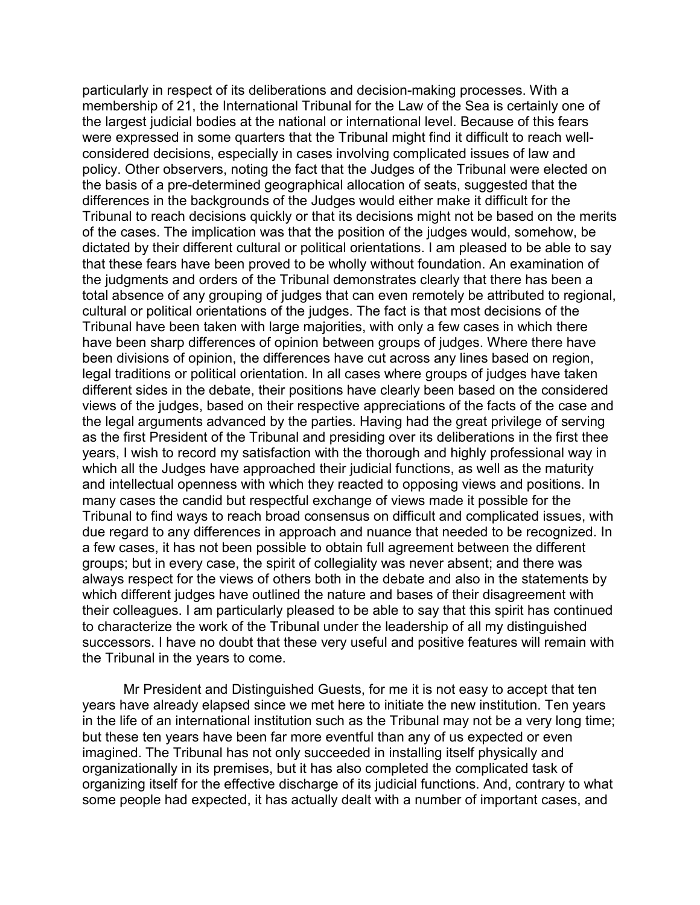particularly in respect of its deliberations and decision-making processes. With a membership of 21, the International Tribunal for the Law of the Sea is certainly one of the largest judicial bodies at the national or international level. Because of this fears were expressed in some quarters that the Tribunal might find it difficult to reach wellconsidered decisions, especially in cases involving complicated issues of law and policy. Other observers, noting the fact that the Judges of the Tribunal were elected on the basis of a pre-determined geographical allocation of seats, suggested that the differences in the backgrounds of the Judges would either make it difficult for the Tribunal to reach decisions quickly or that its decisions might not be based on the merits of the cases. The implication was that the position of the judges would, somehow, be dictated by their different cultural or political orientations. I am pleased to be able to say that these fears have been proved to be wholly without foundation. An examination of the judgments and orders of the Tribunal demonstrates clearly that there has been a total absence of any grouping of judges that can even remotely be attributed to regional, cultural or political orientations of the judges. The fact is that most decisions of the Tribunal have been taken with large majorities, with only a few cases in which there have been sharp differences of opinion between groups of judges. Where there have been divisions of opinion, the differences have cut across any lines based on region, legal traditions or political orientation. In all cases where groups of judges have taken different sides in the debate, their positions have clearly been based on the considered views of the judges, based on their respective appreciations of the facts of the case and the legal arguments advanced by the parties. Having had the great privilege of serving as the first President of the Tribunal and presiding over its deliberations in the first thee years, I wish to record my satisfaction with the thorough and highly professional way in which all the Judges have approached their judicial functions, as well as the maturity and intellectual openness with which they reacted to opposing views and positions. In many cases the candid but respectful exchange of views made it possible for the Tribunal to find ways to reach broad consensus on difficult and complicated issues, with due regard to any differences in approach and nuance that needed to be recognized. In a few cases, it has not been possible to obtain full agreement between the different groups; but in every case, the spirit of collegiality was never absent; and there was always respect for the views of others both in the debate and also in the statements by which different judges have outlined the nature and bases of their disagreement with their colleagues. I am particularly pleased to be able to say that this spirit has continued to characterize the work of the Tribunal under the leadership of all my distinguished successors. I have no doubt that these very useful and positive features will remain with the Tribunal in the years to come.

Mr President and Distinguished Guests, for me it is not easy to accept that ten years have already elapsed since we met here to initiate the new institution. Ten years in the life of an international institution such as the Tribunal may not be a very long time; but these ten years have been far more eventful than any of us expected or even imagined. The Tribunal has not only succeeded in installing itself physically and organizationally in its premises, but it has also completed the complicated task of organizing itself for the effective discharge of its judicial functions. And, contrary to what some people had expected, it has actually dealt with a number of important cases, and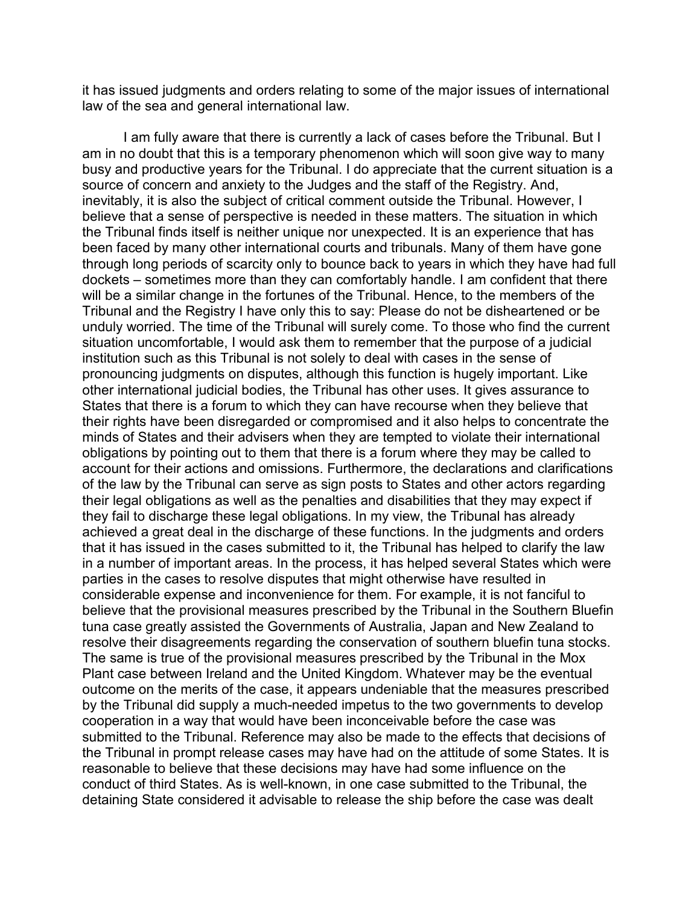it has issued judgments and orders relating to some of the major issues of international law of the sea and general international law.

I am fully aware that there is currently a lack of cases before the Tribunal. But I am in no doubt that this is a temporary phenomenon which will soon give way to many busy and productive years for the Tribunal. I do appreciate that the current situation is a source of concern and anxiety to the Judges and the staff of the Registry. And, inevitably, it is also the subject of critical comment outside the Tribunal. However, I believe that a sense of perspective is needed in these matters. The situation in which the Tribunal finds itself is neither unique nor unexpected. It is an experience that has been faced by many other international courts and tribunals. Many of them have gone through long periods of scarcity only to bounce back to years in which they have had full dockets – sometimes more than they can comfortably handle. I am confident that there will be a similar change in the fortunes of the Tribunal. Hence, to the members of the Tribunal and the Registry I have only this to say: Please do not be disheartened or be unduly worried. The time of the Tribunal will surely come. To those who find the current situation uncomfortable, I would ask them to remember that the purpose of a judicial institution such as this Tribunal is not solely to deal with cases in the sense of pronouncing judgments on disputes, although this function is hugely important. Like other international judicial bodies, the Tribunal has other uses. It gives assurance to States that there is a forum to which they can have recourse when they believe that their rights have been disregarded or compromised and it also helps to concentrate the minds of States and their advisers when they are tempted to violate their international obligations by pointing out to them that there is a forum where they may be called to account for their actions and omissions. Furthermore, the declarations and clarifications of the law by the Tribunal can serve as sign posts to States and other actors regarding their legal obligations as well as the penalties and disabilities that they may expect if they fail to discharge these legal obligations. In my view, the Tribunal has already achieved a great deal in the discharge of these functions. In the judgments and orders that it has issued in the cases submitted to it, the Tribunal has helped to clarify the law in a number of important areas. In the process, it has helped several States which were parties in the cases to resolve disputes that might otherwise have resulted in considerable expense and inconvenience for them. For example, it is not fanciful to believe that the provisional measures prescribed by the Tribunal in the Southern Bluefin tuna case greatly assisted the Governments of Australia, Japan and New Zealand to resolve their disagreements regarding the conservation of southern bluefin tuna stocks. The same is true of the provisional measures prescribed by the Tribunal in the Mox Plant case between Ireland and the United Kingdom. Whatever may be the eventual outcome on the merits of the case, it appears undeniable that the measures prescribed by the Tribunal did supply a much-needed impetus to the two governments to develop cooperation in a way that would have been inconceivable before the case was submitted to the Tribunal. Reference may also be made to the effects that decisions of the Tribunal in prompt release cases may have had on the attitude of some States. It is reasonable to believe that these decisions may have had some influence on the conduct of third States. As is well-known, in one case submitted to the Tribunal, the detaining State considered it advisable to release the ship before the case was dealt